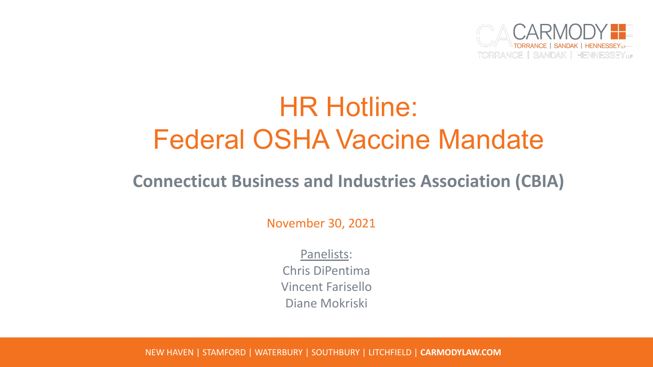

# HR Hotline: Federal OSHA Vaccine Mandate

#### **Connecticut Business and Industries Association (CBIA)**

November 30, 2021

Panelists: Chris DiPentima Vincent Farisello Diane Mokriski

NEW HAVEN | STAMFORD | WATERBURY | SOUTHBURY | LITCHFIELD | **CARMODYLAW.COM**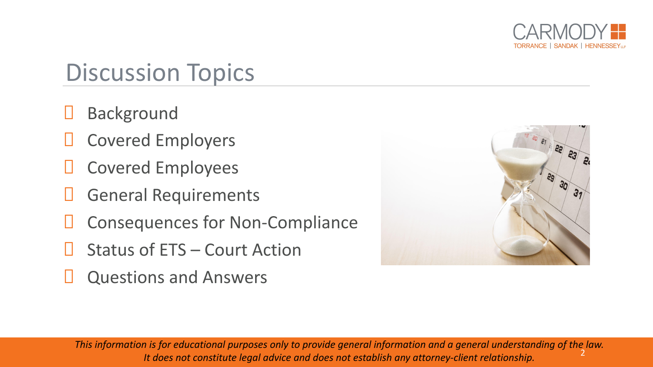

### Discussion Topics

- Background
- Covered Employers
- **D** Covered Employees
- General Requirements
- **D** Consequences for Non-Compliance
- Status of ETS Court Action
- Questions and Answers



2 *This information is for educational purposes only to provide general information and a general understanding of the law. It does not constitute legal advice and does not establish any attorney-client relationship.*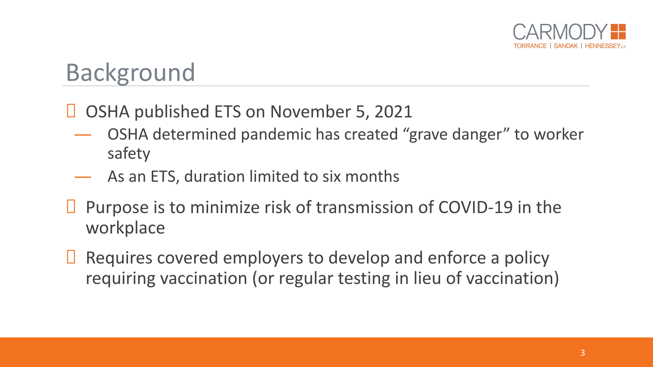

#### Background

#### ■ OSHA published ETS on November 5, 2021

- OSHA determined pandemic has created "grave danger" to worker safety
- ― As an ETS, duration limited to six months
- $\Box$  Purpose is to minimize risk of transmission of COVID-19 in the workplace
- $\Box$  Requires covered employers to develop and enforce a policy requiring vaccination (or regular testing in lieu of vaccination)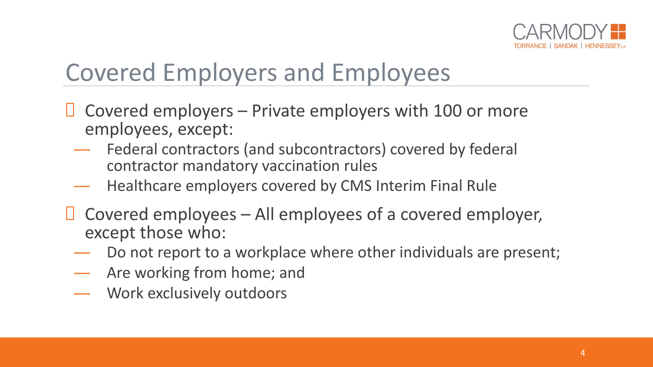

## Covered Employers and Employees

- $\Box$  Covered employers Private employers with 100 or more employees, except:
	- Federal contractors (and subcontractors) covered by federal contractor mandatory vaccination rules
	- Healthcare employers covered by CMS Interim Final Rule
- $\Box$  Covered employees All employees of a covered employer, except those who:
	- Do not report to a workplace where other individuals are present;
	- ― Are working from home; and
	- ― Work exclusively outdoors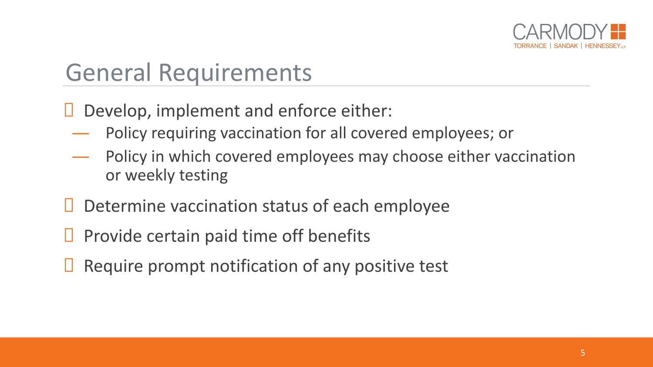

#### General Requirements

Develop, implement and enforce either:

- ― Policy requiring vaccination for all covered employees; or
- Policy in which covered employees may choose either vaccination or weekly testing
- $\Box$  Determine vaccination status of each employee
- $\Box$  Provide certain paid time off benefits
- $\Box$  Require prompt notification of any positive test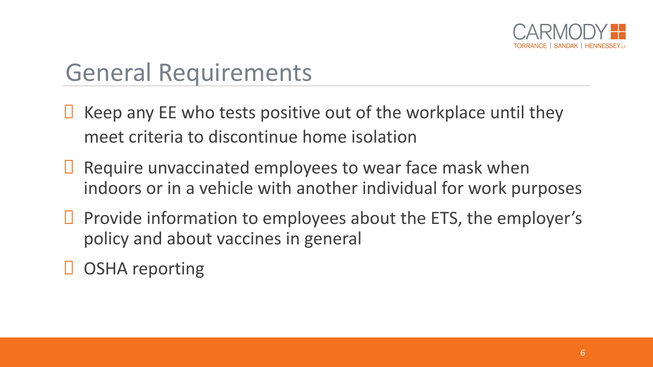

### General Requirements

 $\Box$  Keep any EE who tests positive out of the workplace until they meet criteria to discontinue home isolation

- $\Box$  Require unvaccinated employees to wear face mask when indoors or in a vehicle with another individual for work purposes
- $\Box$  Provide information to employees about the ETS, the employer's policy and about vaccines in general
- **D** OSHA reporting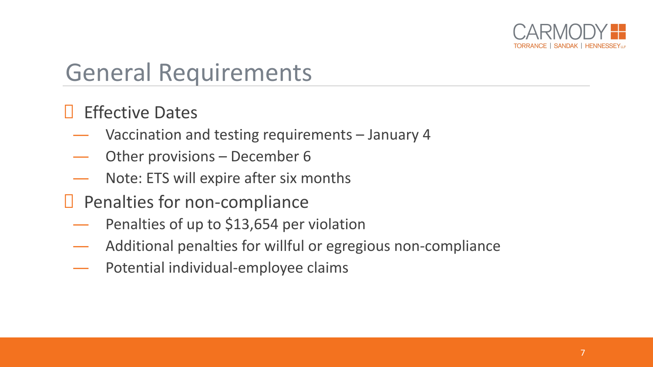

#### General Requirements

#### Effective Dates

- ― Vaccination and testing requirements January 4
- Other provisions December 6
- Note: ETS will expire after six months
- $\Box$  Penalties for non-compliance
	- ― Penalties of up to \$13,654 per violation
	- Additional penalties for willful or egregious non-compliance
	- ― Potential individual-employee claims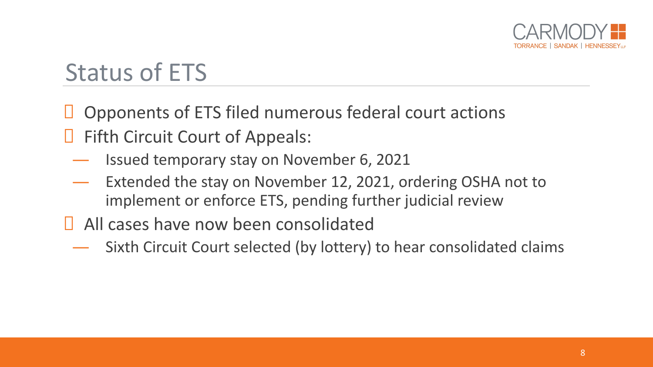

## Status of ETS

 $\Box$  Opponents of ETS filed numerous federal court actions  $\Box$  Fifth Circuit Court of Appeals:

- ― Issued temporary stay on November 6, 2021
- Extended the stay on November 12, 2021, ordering OSHA not to implement or enforce ETS, pending further judicial review
- **E** All cases have now been consolidated
	- Sixth Circuit Court selected (by lottery) to hear consolidated claims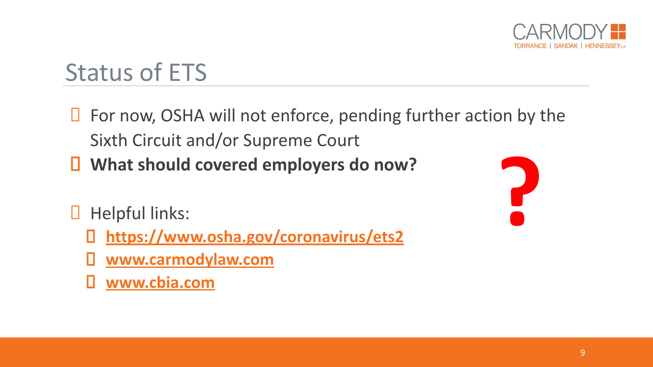

### Status of ETS

- $\Box$  For now, OSHA will not enforce, pending further action by the Sixth Circuit and/or Supreme Court
- **What should covered employers do now?**
- $\Box$  Helpful links:
	- **<https://www.osha.gov/coronavirus/ets2>**
	- **[www.carmodylaw.com](http://www.carmodylaw.com/)**
	- **[www.cbia.com](http://www.cbia.com/)**